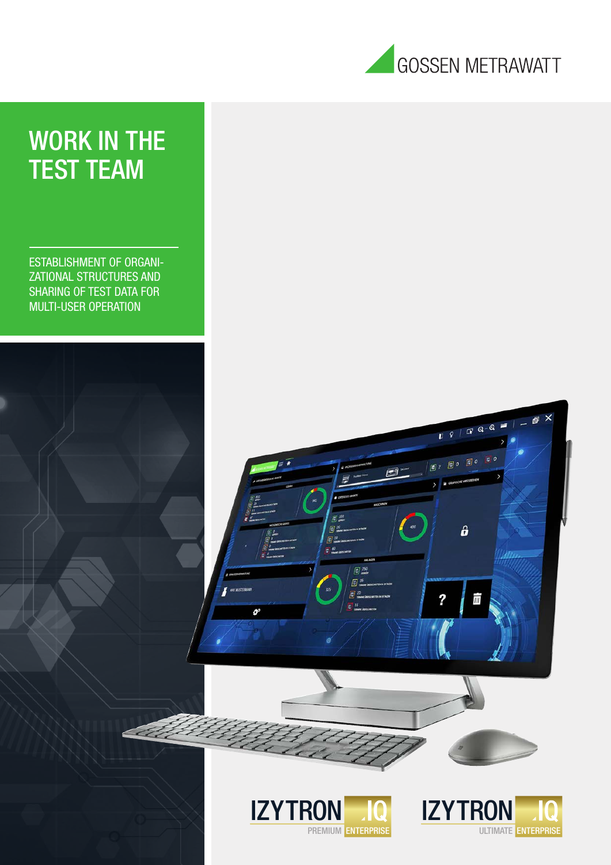

## WORK IN THE TEST TEAM

ESTABLISHMENT OF ORGANI-ZATIONAL STRUCTURES AND SHARING OF TEST DATA FOR MULTI-USER OPERATION